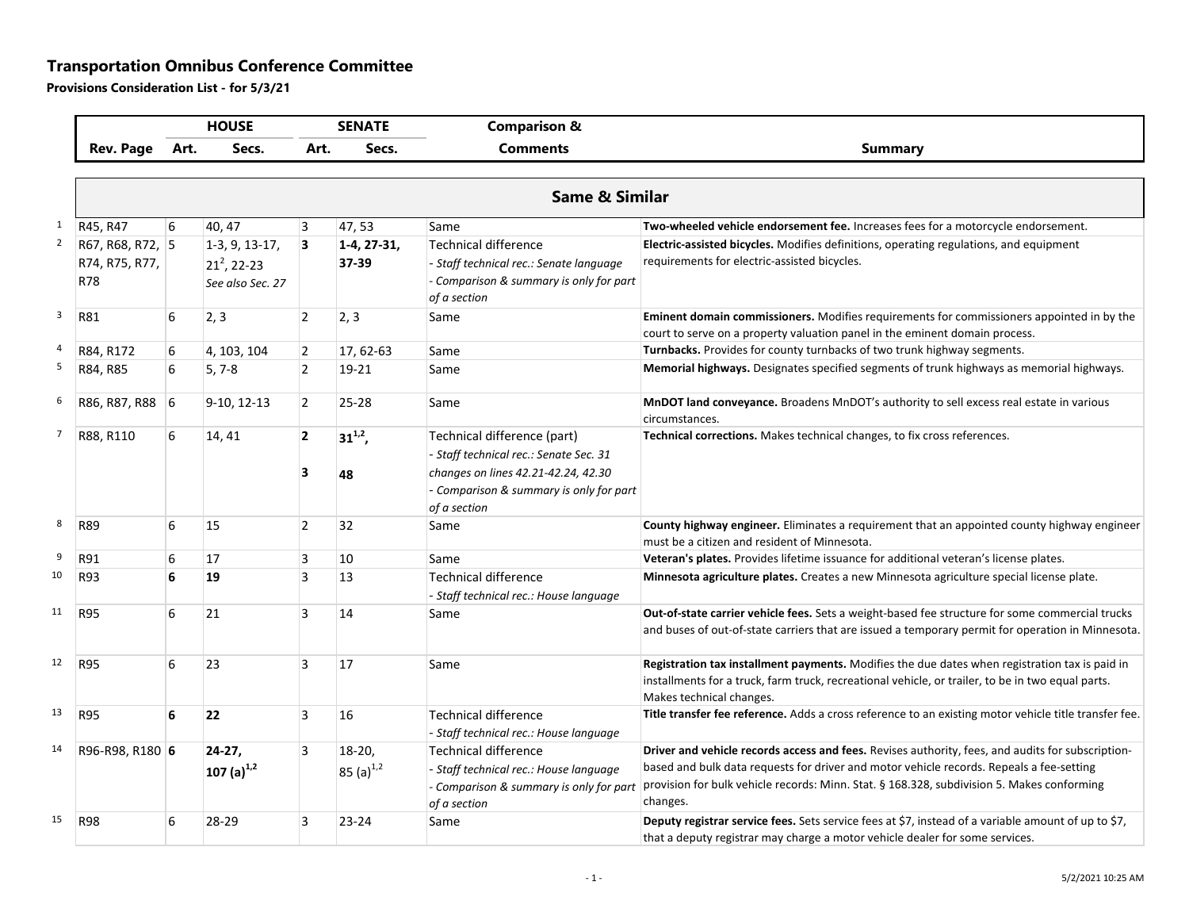## **Transportation Omnibus Conference Committee**

**Provisions Consideration List - for 5/3/21**

|                         |                                           |      | <b>HOUSE</b>                                                    |                     | <b>SENATE</b>               | <b>Comparison &amp;</b>                                                                                                                                                 |                                                                                                                                                                                                                                                                                                         |
|-------------------------|-------------------------------------------|------|-----------------------------------------------------------------|---------------------|-----------------------------|-------------------------------------------------------------------------------------------------------------------------------------------------------------------------|---------------------------------------------------------------------------------------------------------------------------------------------------------------------------------------------------------------------------------------------------------------------------------------------------------|
|                         | <b>Rev. Page</b>                          | Art. | Secs.                                                           | Art.                | Secs.                       | <b>Comments</b>                                                                                                                                                         | <b>Summary</b>                                                                                                                                                                                                                                                                                          |
|                         |                                           |      |                                                                 |                     |                             |                                                                                                                                                                         |                                                                                                                                                                                                                                                                                                         |
|                         |                                           |      |                                                                 |                     |                             | <b>Same &amp; Similar</b>                                                                                                                                               |                                                                                                                                                                                                                                                                                                         |
| $\mathbf{1}$            | R45, R47                                  | 6    | 40, 47                                                          | 3                   | 47,53                       | Same                                                                                                                                                                    | Two-wheeled vehicle endorsement fee. Increases fees for a motorcycle endorsement.                                                                                                                                                                                                                       |
| $\overline{2}$          | R67, R68, R72, 5<br>R74, R75, R77,<br>R78 |      | $1-3, 9, 13-17,$<br>21 <sup>2</sup> , 22-23<br>See also Sec. 27 | 3                   | 1-4, 27-31,<br>37-39        | Technical difference<br>- Staff technical rec.: Senate language<br>- Comparison & summary is only for part<br>of a section                                              | Electric-assisted bicycles. Modifies definitions, operating regulations, and equipment<br>requirements for electric-assisted bicycles.                                                                                                                                                                  |
| $\overline{\mathbf{3}}$ | R81                                       | 6    | 2,3                                                             | $\overline{2}$      | 2, 3                        | Same                                                                                                                                                                    | Eminent domain commissioners. Modifies requirements for commissioners appointed in by the<br>court to serve on a property valuation panel in the eminent domain process.                                                                                                                                |
| $\overline{a}$          | R84, R172                                 | 6    | 4, 103, 104                                                     | $\overline{2}$      | 17, 62-63                   | Same                                                                                                                                                                    | Turnbacks. Provides for county turnbacks of two trunk highway segments.                                                                                                                                                                                                                                 |
| 5                       | R84, R85                                  | 6    | $5, 7-8$                                                        | $\overline{2}$      | 19-21                       | Same                                                                                                                                                                    | Memorial highways. Designates specified segments of trunk highways as memorial highways.                                                                                                                                                                                                                |
| 6                       | R86, R87, R88 6                           |      | 9-10, 12-13                                                     | $\overline{2}$      | $25 - 28$                   | Same                                                                                                                                                                    | MnDOT land conveyance. Broadens MnDOT's authority to sell excess real estate in various<br>circumstances.                                                                                                                                                                                               |
| $\overline{7}$          | R88, R110                                 | 6    | 14, 41                                                          | $\overline{2}$<br>3 | $31^{1,2}$ ,<br>48          | Technical difference (part)<br>- Staff technical rec.: Senate Sec. 31<br>changes on lines 42.21-42.24, 42.30<br>- Comparison & summary is only for part<br>of a section | Technical corrections. Makes technical changes, to fix cross references.                                                                                                                                                                                                                                |
| 8                       | R89                                       | 6    | 15                                                              | $\overline{2}$      | 32                          | Same                                                                                                                                                                    | County highway engineer. Eliminates a requirement that an appointed county highway engineer<br>must be a citizen and resident of Minnesota.                                                                                                                                                             |
| 9                       | R91                                       | 6    | 17                                                              | 3                   | 10                          | Same                                                                                                                                                                    | Veteran's plates. Provides lifetime issuance for additional veteran's license plates.                                                                                                                                                                                                                   |
| 10                      | R93                                       | 6    | 19                                                              | 3                   | 13                          | Technical difference<br>- Staff technical rec.: House language                                                                                                          | Minnesota agriculture plates. Creates a new Minnesota agriculture special license plate.                                                                                                                                                                                                                |
| 11                      | R95                                       | 6    | 21                                                              | 3                   | 14                          | Same                                                                                                                                                                    | Out-of-state carrier vehicle fees. Sets a weight-based fee structure for some commercial trucks<br>and buses of out-of-state carriers that are issued a temporary permit for operation in Minnesota.                                                                                                    |
| 12                      | R95                                       | 6    | 23                                                              | 3                   | 17                          | Same                                                                                                                                                                    | Registration tax installment payments. Modifies the due dates when registration tax is paid in<br>installments for a truck, farm truck, recreational vehicle, or trailer, to be in two equal parts.<br>Makes technical changes.                                                                         |
| 13                      | R95                                       | 6    | 22                                                              | 3                   | 16                          | <b>Technical difference</b><br>- Staff technical rec.: House language                                                                                                   | Title transfer fee reference. Adds a cross reference to an existing motor vehicle title transfer fee.                                                                                                                                                                                                   |
| 14                      | R96-R98, R180 6                           |      | $24-27,$<br>107 $(a)^{1,2}$                                     | 3                   | $18-20$ ,<br>85 $(a)^{1,2}$ | <b>Technical difference</b><br>- Staff technical rec.: House language<br>- Comparison & summary is only for part<br>of a section                                        | Driver and vehicle records access and fees. Revises authority, fees, and audits for subscription-<br>based and bulk data requests for driver and motor vehicle records. Repeals a fee-setting<br>provision for bulk vehicle records: Minn. Stat. § 168.328, subdivision 5. Makes conforming<br>changes. |
| 15                      | <b>R98</b>                                | 6    | 28-29                                                           | 3                   | $23 - 24$                   | Same                                                                                                                                                                    | Deputy registrar service fees. Sets service fees at \$7, instead of a variable amount of up to \$7,<br>that a deputy registrar may charge a motor vehicle dealer for some services.                                                                                                                     |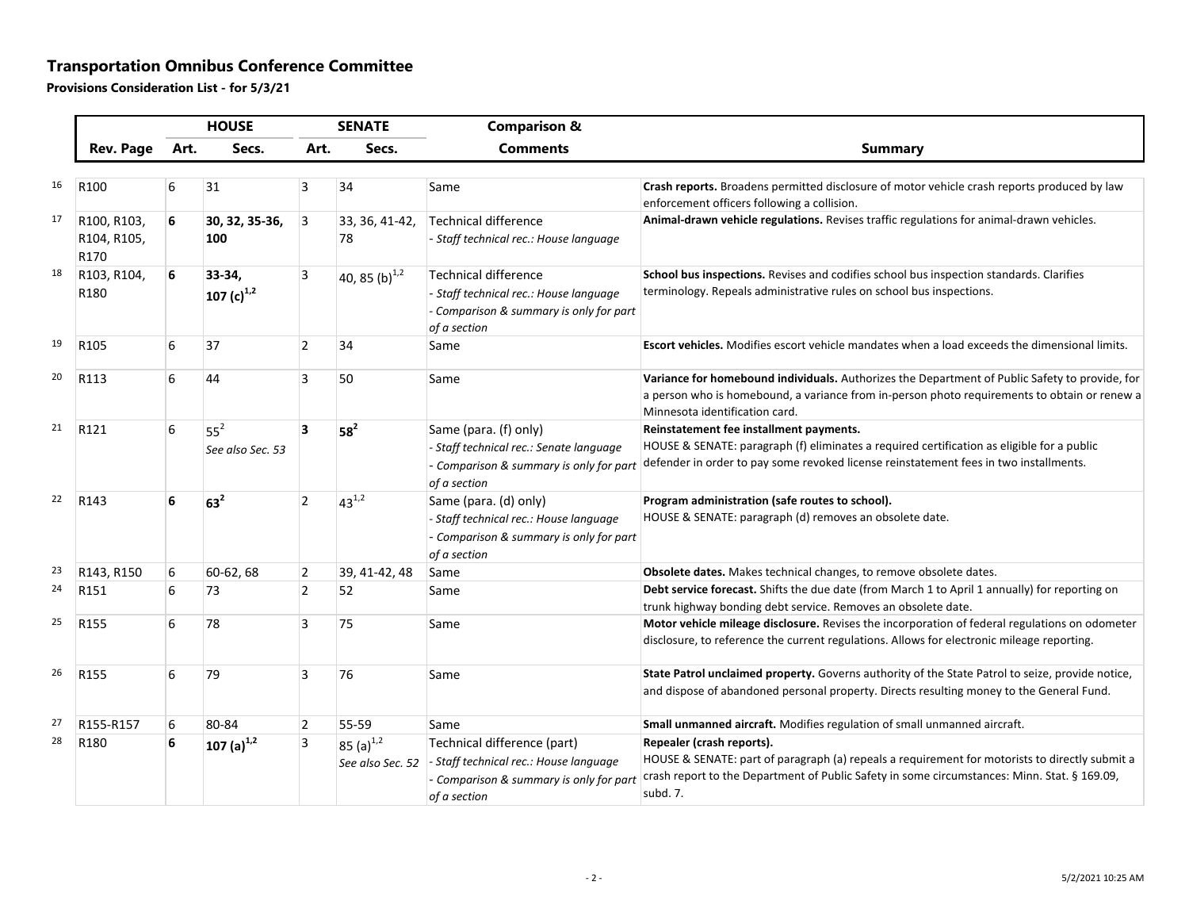## **Transportation Omnibus Conference Committee**

**Provisions Consideration List - for 5/3/21**

|    |                                    | <b>HOUSE</b> |                                     | <b>SENATE</b>  |                                    | <b>Comparison &amp;</b>                                                                                                          |                                                                                                                                                                                                                                         |
|----|------------------------------------|--------------|-------------------------------------|----------------|------------------------------------|----------------------------------------------------------------------------------------------------------------------------------|-----------------------------------------------------------------------------------------------------------------------------------------------------------------------------------------------------------------------------------------|
|    | <b>Rev. Page</b>                   | Art.         | Secs.                               | Art.           | Secs.                              | <b>Comments</b>                                                                                                                  | <b>Summary</b>                                                                                                                                                                                                                          |
| 16 | R <sub>100</sub>                   | 6            | 31                                  | 3              | 34                                 | Same                                                                                                                             | Crash reports. Broadens permitted disclosure of motor vehicle crash reports produced by law<br>enforcement officers following a collision.                                                                                              |
| 17 | R100, R103,<br>R104, R105,<br>R170 | 6            | 30, 32, 35-36,<br>100               | 3              | 33, 36, 41-42,<br>78               | Technical difference<br>- Staff technical rec.: House language                                                                   | Animal-drawn vehicle regulations. Revises traffic regulations for animal-drawn vehicles.                                                                                                                                                |
| 18 | R103, R104,<br>R180                | 6            | 33-34.<br>107 $(c)^{1,2}$           | 3              | 40, 85 (b) $^{1,2}$                | <b>Technical difference</b><br>- Staff technical rec.: House language<br>- Comparison & summary is only for part<br>of a section | School bus inspections. Revises and codifies school bus inspection standards. Clarifies<br>terminology. Repeals administrative rules on school bus inspections.                                                                         |
| 19 | R105                               | 6            | 37                                  | $\overline{2}$ | 34                                 | Same                                                                                                                             | Escort vehicles. Modifies escort vehicle mandates when a load exceeds the dimensional limits.                                                                                                                                           |
| 20 | R113                               | 6            | 44                                  | 3              | 50                                 | Same                                                                                                                             | Variance for homebound individuals. Authorizes the Department of Public Safety to provide, for<br>a person who is homebound, a variance from in-person photo requirements to obtain or renew a<br>Minnesota identification card.        |
| 21 | R121                               | 6            | 55 <sup>2</sup><br>See also Sec. 53 | 3              | $58^2$                             | Same (para. (f) only)<br>- Staff technical rec.: Senate language<br>- Comparison & summary is only for part<br>of a section      | Reinstatement fee installment payments.<br>HOUSE & SENATE: paragraph (f) eliminates a required certification as eligible for a public<br>defender in order to pay some revoked license reinstatement fees in two installments.          |
| 22 | R143                               | 6            | $63^2$                              | $\overline{2}$ | $43^{1,2}$                         | Same (para. (d) only)<br>- Staff technical rec.: House language<br>- Comparison & summary is only for part<br>of a section       | Program administration (safe routes to school).<br>HOUSE & SENATE: paragraph (d) removes an obsolete date.                                                                                                                              |
| 23 | R143, R150                         | 6            | 60-62, 68                           | 2              | 39, 41-42, 48                      | Same                                                                                                                             | Obsolete dates. Makes technical changes, to remove obsolete dates.                                                                                                                                                                      |
| 24 | R151                               | 6            | 73                                  | $\overline{2}$ | 52                                 | Same                                                                                                                             | Debt service forecast. Shifts the due date (from March 1 to April 1 annually) for reporting on<br>trunk highway bonding debt service. Removes an obsolete date.                                                                         |
| 25 | R155                               | 6            | 78                                  | 3              | 75                                 | Same                                                                                                                             | Motor vehicle mileage disclosure. Revises the incorporation of federal regulations on odometer<br>disclosure, to reference the current regulations. Allows for electronic mileage reporting.                                            |
| 26 | R155                               | 6            | 79                                  | 3              | 76                                 | Same                                                                                                                             | State Patrol unclaimed property. Governs authority of the State Patrol to seize, provide notice,<br>and dispose of abandoned personal property. Directs resulting money to the General Fund.                                            |
| 27 | R155-R157                          | 6            | 80-84                               | $\overline{2}$ | 55-59                              | Same                                                                                                                             | Small unmanned aircraft. Modifies regulation of small unmanned aircraft.                                                                                                                                                                |
| 28 | R180                               | 6            | 107 (a) $^{1,2}$                    | 3              | 85 $(a)^{1,2}$<br>See also Sec. 52 | Technical difference (part)<br>- Staff technical rec.: House language<br>- Comparison & summary is only for part<br>of a section | Repealer (crash reports).<br>HOUSE & SENATE: part of paragraph (a) repeals a requirement for motorists to directly submit a<br>crash report to the Department of Public Safety in some circumstances: Minn. Stat. § 169.09,<br>subd. 7. |